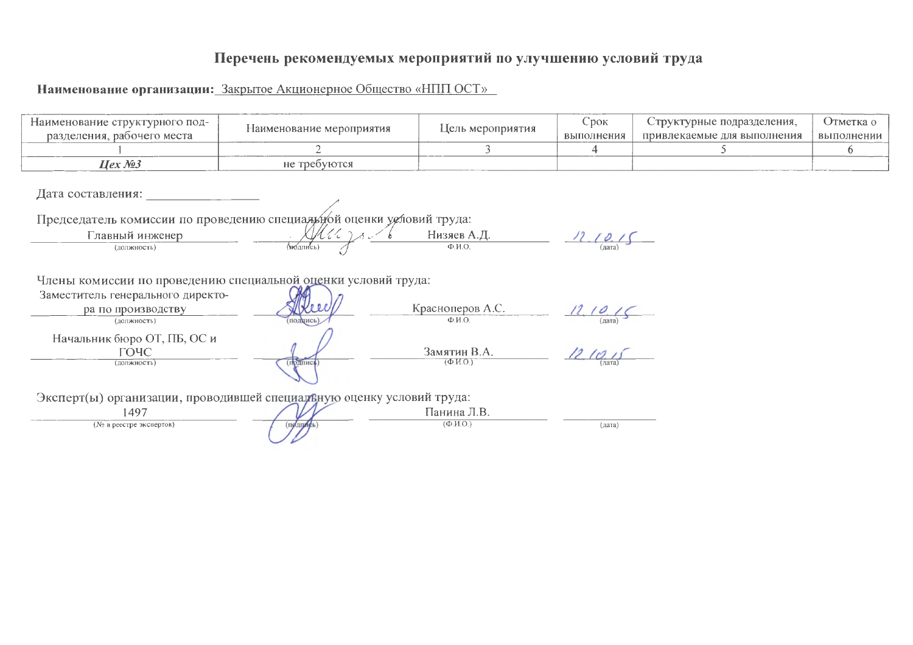# Перечень рекомендуемых мероприятий по улучшению условий труда

Наименование организации: Закрытое Акционерное Общество «НПП ОСТ»

| Наименование структурного под-<br>разделения, рабочего места                                                                             | Наименование мероприятия | Цель мероприятия                                          | Срок<br>выполнения      | Структурные подразделения,<br>привлекаемые для выполнения | Отметка о<br>выполнении |  |
|------------------------------------------------------------------------------------------------------------------------------------------|--------------------------|-----------------------------------------------------------|-------------------------|-----------------------------------------------------------|-------------------------|--|
|                                                                                                                                          |                          | 3                                                         | 4                       | 5.                                                        | 6                       |  |
| $Hex \mathcal{N} 3$                                                                                                                      | не требуются             |                                                           |                         |                                                           |                         |  |
| Дата составления:<br>Председатель комиссии по проведению специадирой оценки условий труда:<br>Главный инженер<br>(должность)             | M(t)                     | $H$ изяев А.Д.                                            | $\frac{1}{\frac{1}{2}}$ |                                                           |                         |  |
| Члены комиссии по проведению специальной оценки условий труда:<br>Заместитель генерального директо-<br>ра по производству<br>(должность) | подуись                  | Красноперов А.С.<br>$\Phi$ . $M$ . $O$ .                  | 12, 10, 15              |                                                           |                         |  |
| Начальник бюро ОТ, ПБ, ОС и<br>ГОЧС<br>(должность)                                                                                       | (подпись                 | Замятин В.А.<br>$(\Phi$ <sub>M</sub> O <sub>1</sub>       | 1210.15                 |                                                           |                         |  |
| Эксперт(ы) организации, проводившей специаленую оценку условий труда:                                                                    |                          |                                                           |                         |                                                           |                         |  |
| 1497<br>(№ в реестре экспертов)                                                                                                          | <b>ПОДПИЕЬ</b>           | Панина Л.В.<br>$(\Phi$ <sub>M</sub> $\Omega$ <sub>)</sub> | (дата)                  |                                                           |                         |  |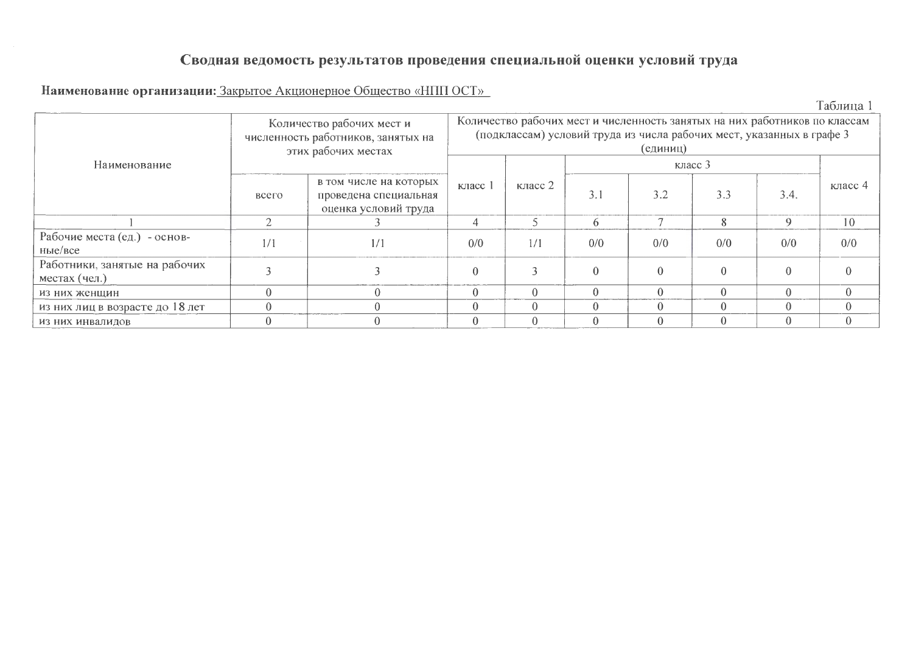# Сводная ведомость результатов проведения специальной оценки условий труда

#### Наименование организации: Закрытое Акционерное Общество «НПП ОСТ»

Таблица 1

|                                                |                                                                                  | Количество рабочих мест и<br>численность работников, занятых на<br>этих рабочих местах | Количество рабочих мест и численность занятых на них работников по классам<br>(подклассам) условий труда из числа рабочих мест, указанных в графе 3<br>(единиц) |          |          |     |     |      |           |  |  |  |  |
|------------------------------------------------|----------------------------------------------------------------------------------|----------------------------------------------------------------------------------------|-----------------------------------------------------------------------------------------------------------------------------------------------------------------|----------|----------|-----|-----|------|-----------|--|--|--|--|
| Наименование                                   |                                                                                  |                                                                                        |                                                                                                                                                                 |          |          |     |     |      |           |  |  |  |  |
|                                                | в том числе на которых<br>всего<br>проведена специальная<br>оценка условий труда |                                                                                        | класс 1                                                                                                                                                         | класс 2  | 3.1      | 3.2 | 3.3 | 3.4. | класс $4$ |  |  |  |  |
|                                                |                                                                                  |                                                                                        |                                                                                                                                                                 |          |          |     |     |      | 10        |  |  |  |  |
| Рабочие места (ед.) - основ-<br>HbIe/Bce       | 1/1                                                                              | 1/1                                                                                    | 0/0                                                                                                                                                             | 1/1      | 0/0      | 0/0 | 0/0 | 0/0  | 0/0       |  |  |  |  |
| Работники, занятые на рабочих<br>местах (чел.) |                                                                                  |                                                                                        |                                                                                                                                                                 |          | $\Omega$ |     |     |      |           |  |  |  |  |
| из них женщин                                  | $\Omega$                                                                         |                                                                                        |                                                                                                                                                                 | $\Omega$ |          |     |     |      |           |  |  |  |  |
| из них лиц в возрасте до 18 лет                |                                                                                  |                                                                                        |                                                                                                                                                                 | $\Omega$ |          |     |     |      |           |  |  |  |  |
| ИЗ НИХ ИНВАЛИДОВ                               |                                                                                  |                                                                                        |                                                                                                                                                                 |          |          |     |     |      |           |  |  |  |  |